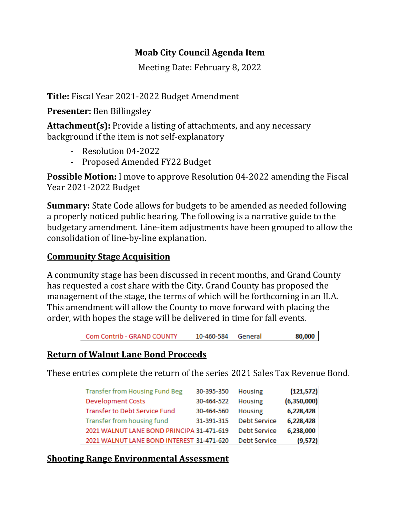## **Moab City Council Agenda Item**

Meeting Date: February 8, 2022

**Title:** Fiscal Year 2021-2022 Budget Amendment

**Presenter:** Ben Billingsley

**Attachment(s):** Provide a listing of attachments, and any necessary background if the item is not self-explanatory

- Resolution 04-2022
- Proposed Amended FY22 Budget

**Possible Motion:** I move to approve Resolution 04-2022 amending the Fiscal Year 2021-2022 Budget

**Summary:** State Code allows for budgets to be amended as needed following a properly noticed public hearing. The following is a narrative guide to the budgetary amendment. Line-item adjustments have been grouped to allow the consolidation of line-by-line explanation.

## **Community Stage Acquisition**

A community stage has been discussed in recent months, and Grand County has requested a cost share with the City. Grand County has proposed the management of the stage, the terms of which will be forthcoming in an ILA. This amendment will allow the County to move forward with placing the order, with hopes the stage will be delivered in time for fall events.

> 80,000 Com Contrib - GRAND COUNTY 10-460-584 General

## **Return of Walnut Lane Bond Proceeds**

These entries complete the return of the series 2021 Sales Tax Revenue Bond.

| <b>Transfer from Housing Fund Beg</b>     | 30-395-350 | <b>Housing</b>      | (121, 572)  |
|-------------------------------------------|------------|---------------------|-------------|
| <b>Development Costs</b>                  | 30-464-522 | <b>Housing</b>      | (6,350,000) |
| Transfer to Debt Service Fund             | 30-464-560 | <b>Housing</b>      | 6,228,428   |
| Transfer from housing fund                | 31-391-315 | <b>Debt Service</b> | 6,228,428   |
| 2021 WALNUT LANE BOND PRINCIPA 31-471-619 |            | <b>Debt Service</b> | 6,238,000   |
| 2021 WALNUT LANE BOND INTEREST 31-471-620 |            | <b>Debt Service</b> | (9, 572)    |

# **Shooting Range Environmental Assessment**